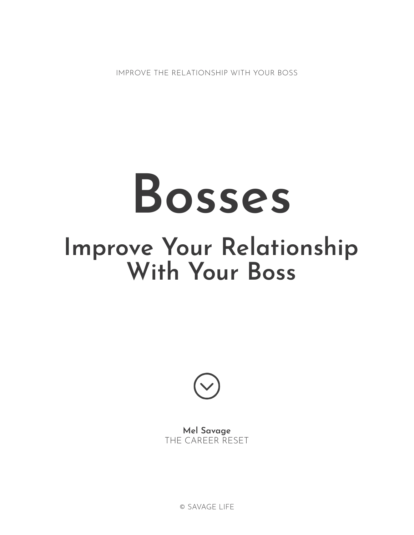# **Bosses Improve Your Relationship With Your Boss**



**Mel Savage** THE CAREER RESET

© SAVAGE LIFE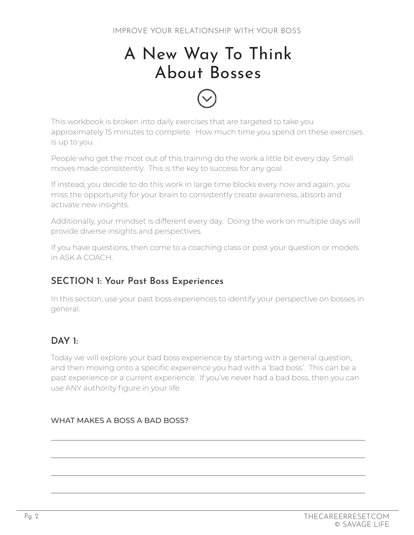# A New Way To Think About Bosses



People who get the most out of this training do the work a little bit every day. Small moves made consistently. This is the key to success for any goal.

If instead, you decide to do this work in large time blocks every now and again, you miss the opportunity for your brain to consistently create awareness, absorb and activate new insights.

Additionally, your mindset is different every day. Doing the work on multiple days will provide diverse insights and perspectives.

If you have questions, then come to a coaching class or post your question or models in ASK A COACH.

# **SECTION 1: Your Past Boss Experiences**

In this section, use your past boss experiences to identify your perspective on bosses in general.

# **DAY 1:**

Today we will explore your bad boss experience by starting with a general question, and then moving onto a specific experience you had with a 'bad boss'. This can be a past experience or a current experience. If you've never had a bad boss, then you can use ANY authority figure in your life.

#### WHAT MAKES A BOSS A BAD BOSS?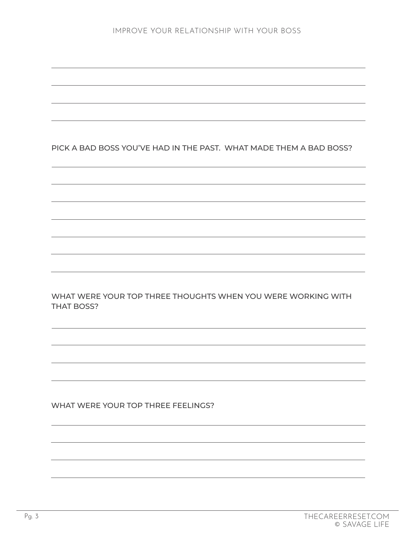#### PICK A BAD BOSS YOU'VE HAD IN THE PAST. WHAT MADE THEM A BAD BOSS?

WHAT WERE YOUR TOP THREE THOUGHTS WHEN YOU WERE WORKING WITH THAT BOSS?

WHAT WERE YOUR TOP THREE FEELINGS?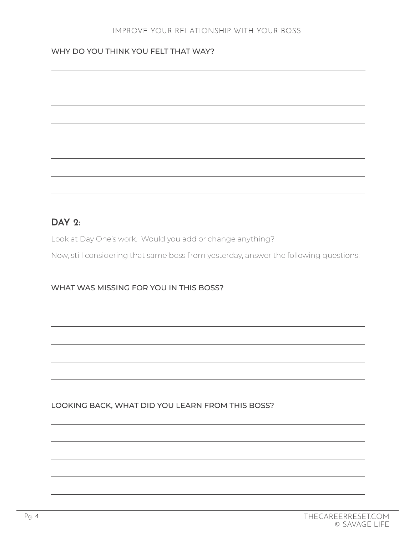#### WHY DO YOU THINK YOU FELT THAT WAY?

| ,我们也不会有什么?""我们的人,我们也不会有什么?""我们的人,我们也不会有什么?""我们的人,我们也不会有什么?""我们的人,我们也不会有什么?""我们的人                                                                                                                                                     |                                   |
|--------------------------------------------------------------------------------------------------------------------------------------------------------------------------------------------------------------------------------------|-----------------------------------|
|                                                                                                                                                                                                                                      |                                   |
|                                                                                                                                                                                                                                      |                                   |
|                                                                                                                                                                                                                                      |                                   |
|                                                                                                                                                                                                                                      |                                   |
|                                                                                                                                                                                                                                      |                                   |
|                                                                                                                                                                                                                                      |                                   |
|                                                                                                                                                                                                                                      |                                   |
|                                                                                                                                                                                                                                      |                                   |
|                                                                                                                                                                                                                                      |                                   |
|                                                                                                                                                                                                                                      | and the control of the control of |
|                                                                                                                                                                                                                                      |                                   |
|                                                                                                                                                                                                                                      |                                   |
|                                                                                                                                                                                                                                      |                                   |
|                                                                                                                                                                                                                                      |                                   |
|                                                                                                                                                                                                                                      |                                   |
|                                                                                                                                                                                                                                      |                                   |
|                                                                                                                                                                                                                                      |                                   |
|                                                                                                                                                                                                                                      |                                   |
|                                                                                                                                                                                                                                      |                                   |
|                                                                                                                                                                                                                                      |                                   |
|                                                                                                                                                                                                                                      |                                   |
|                                                                                                                                                                                                                                      |                                   |
|                                                                                                                                                                                                                                      |                                   |
|                                                                                                                                                                                                                                      |                                   |
|                                                                                                                                                                                                                                      |                                   |
|                                                                                                                                                                                                                                      |                                   |
|                                                                                                                                                                                                                                      |                                   |
|                                                                                                                                                                                                                                      |                                   |
|                                                                                                                                                                                                                                      |                                   |
|                                                                                                                                                                                                                                      |                                   |
|                                                                                                                                                                                                                                      |                                   |
|                                                                                                                                                                                                                                      |                                   |
|                                                                                                                                                                                                                                      |                                   |
|                                                                                                                                                                                                                                      |                                   |
|                                                                                                                                                                                                                                      |                                   |
|                                                                                                                                                                                                                                      |                                   |
|                                                                                                                                                                                                                                      |                                   |
|                                                                                                                                                                                                                                      |                                   |
|                                                                                                                                                                                                                                      |                                   |
|                                                                                                                                                                                                                                      |                                   |
|                                                                                                                                                                                                                                      |                                   |
|                                                                                                                                                                                                                                      |                                   |
|                                                                                                                                                                                                                                      |                                   |
|                                                                                                                                                                                                                                      |                                   |
|                                                                                                                                                                                                                                      |                                   |
|                                                                                                                                                                                                                                      |                                   |
|                                                                                                                                                                                                                                      |                                   |
| <u> 1989 - Johann Harry Harry Harry Harry Harry Harry Harry Harry Harry Harry Harry Harry Harry Harry Harry Harry Harry Harry Harry Harry Harry Harry Harry Harry Harry Harry Harry Harry Harry Harry Harry Harry Harry Harry Ha</u> |                                   |
|                                                                                                                                                                                                                                      |                                   |
|                                                                                                                                                                                                                                      |                                   |
|                                                                                                                                                                                                                                      |                                   |
|                                                                                                                                                                                                                                      |                                   |
|                                                                                                                                                                                                                                      |                                   |
|                                                                                                                                                                                                                                      |                                   |
|                                                                                                                                                                                                                                      |                                   |
|                                                                                                                                                                                                                                      |                                   |
|                                                                                                                                                                                                                                      |                                   |
|                                                                                                                                                                                                                                      |                                   |
|                                                                                                                                                                                                                                      |                                   |
|                                                                                                                                                                                                                                      |                                   |
|                                                                                                                                                                                                                                      |                                   |
|                                                                                                                                                                                                                                      |                                   |
|                                                                                                                                                                                                                                      |                                   |
|                                                                                                                                                                                                                                      |                                   |
|                                                                                                                                                                                                                                      |                                   |

# **DAY 2:**

Look at Day One's work. Would you add or change anything?

Now, still considering that same boss from yesterday, answer the following questions;

#### WHAT WAS MISSING FOR YOU IN THIS BOSS?

#### LOOKING BACK, WHAT DID YOU LEARN FROM THIS BOSS?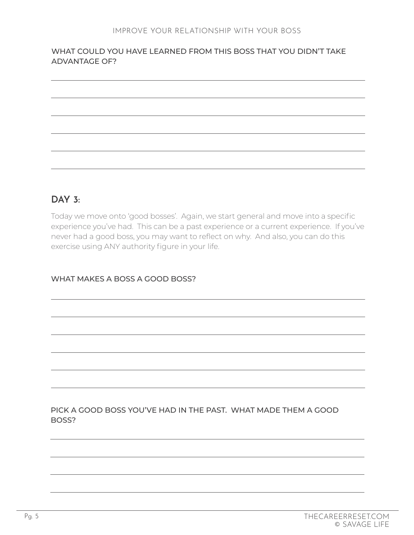#### WHAT COULD YOU HAVE LEARNED FROM THIS BOSS THAT YOU DIDN'T TAKE ADVANTAGE OF?

# **DAY 3:**

Today we move onto 'good bosses'. Again, we start general and move into a specific experience you've had. This can be a past experience or a current experience. If you've never had a good boss, you may want to reflect on why. And also, you can do this exercise using ANY authority figure in your life.

#### WHAT MAKES A BOSS A GOOD BOSS?

#### PICK A GOOD BOSS YOU'VE HAD IN THE PAST. WHAT MADE THEM A GOOD BOSS?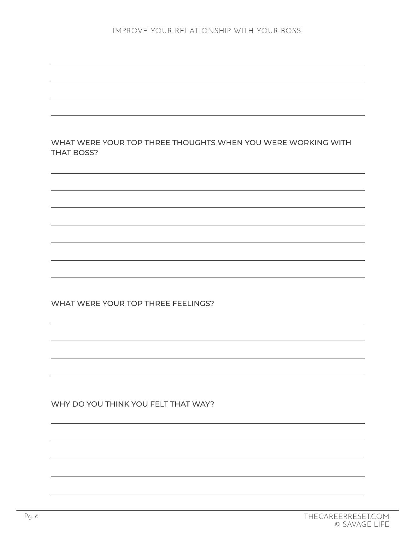| WHAT WERE YOUR TOP THREE THOUGHTS WHEN YOU WERE WORKING WITH<br><b>THAT BOSS?</b> |  |
|-----------------------------------------------------------------------------------|--|
|                                                                                   |  |
|                                                                                   |  |
|                                                                                   |  |
|                                                                                   |  |
|                                                                                   |  |
|                                                                                   |  |
| WHAT WERE YOUR TOP THREE FEELINGS?                                                |  |
|                                                                                   |  |
|                                                                                   |  |
|                                                                                   |  |
|                                                                                   |  |
| WHY DO YOU THINK YOU FELT THAT WAY?                                               |  |
|                                                                                   |  |
|                                                                                   |  |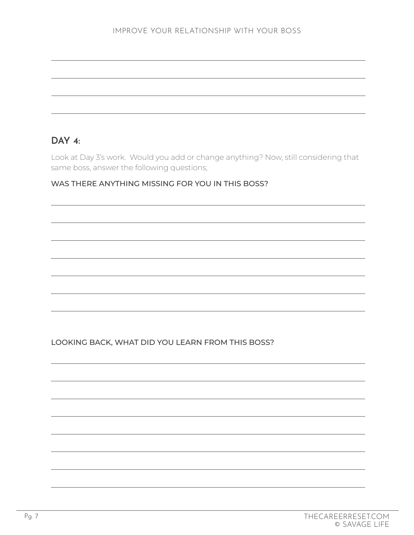# **DAY 4:**

Look at Day 3's work. Would you add or change anything? Now, still considering that same boss, answer the following questions;

#### WAS THERE ANYTHING MISSING FOR YOU IN THIS BOSS?

LOOKING BACK, WHAT DID YOU LEARN FROM THIS BOSS?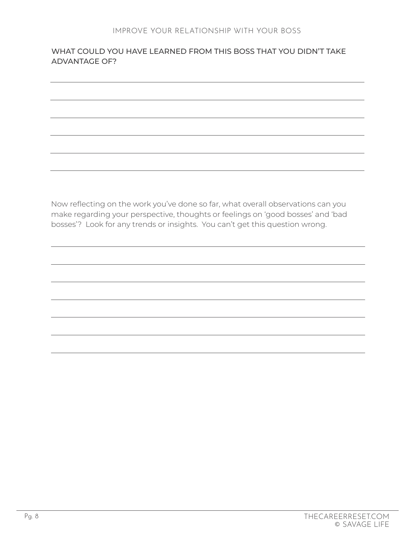#### WHAT COULD YOU HAVE LEARNED FROM THIS BOSS THAT YOU DIDN'T TAKE ADVANTAGE OF?

Now reflecting on the work you've done so far, what overall observations can you make regarding your perspective, thoughts or feelings on 'good bosses' and 'bad bosses'? Look for any trends or insights. You can't get this question wrong.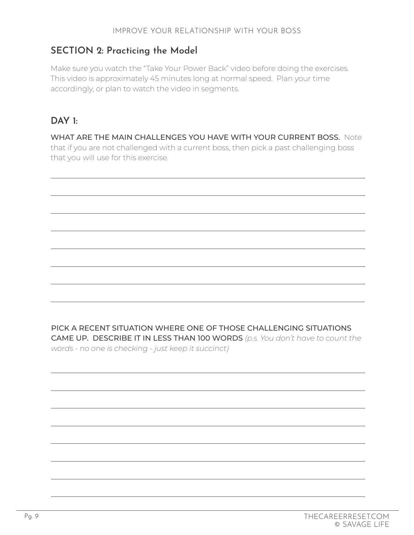# **SECTION 2: Practicing the Model**

Make sure you watch the "Take Your Power Back" video before doing the exercises. This video is approximately 45 minutes long at normal speed. Plan your time accordingly, or plan to watch the video in segments.

# **DAY 1:**

WHAT ARE THE MAIN CHALLENGES YOU HAVE WITH YOUR CURRENT BOSS. Note that if you are not challenged with a current boss, then pick a past challenging boss that you will use for this exercise.

PICK A RECENT SITUATION WHERE ONE OF THOSE CHALLENGING SITUATIONS CAME UP. DESCRIBE IT IN LESS THAN 100 WORDS *(p.s. You don't have to count the words - no one is checking - just keep it succinct)*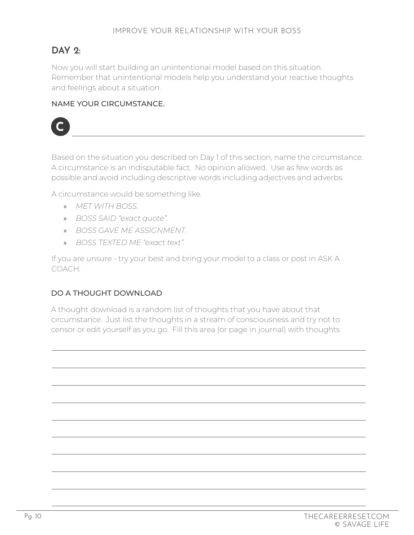# **DAY 2:**

Now you will start building an unintentional model based on this situation. Remember that unintentional models help you understand your reactive thoughts and feelings about a situation.

#### NAME YOUR CIRCUMSTANCE.



Based on the situation you described on Day 1 of this section, name the circumstance. A circumstance is an indisputable fact. No opinion allowed. Use as few words as possible and avoid including descriptive words including adjectives and adverbs.

A circumstance would be something like.

- » *MET WITH BOSS.*
- » *BOSS SAID "exact quote".*
- » *BOSS GAVE ME ASSIGNMENT.*
- » *BOSS TEXTED ME "exact text".*

If you are unsure - try your best and bring your model to a class or post in ASK A COACH.

# DO A THOUGHT DOWNLOAD

A thought download is a random list of thoughts that you have about that circumstance. Just list the thoughts in a stream of consciousness and try not to censor or edit yourself as you go. Fill this area (or page in journal) with thoughts.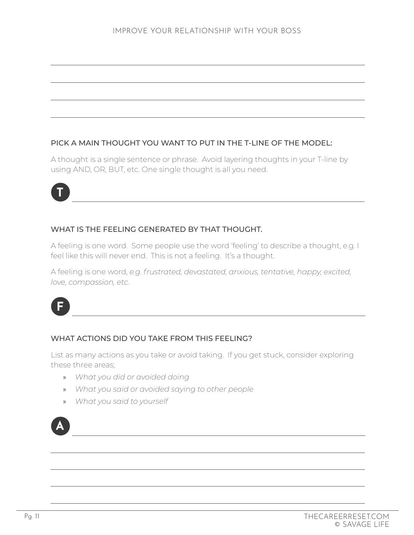#### PICK A MAIN THOUGHT YOU WANT TO PUT IN THE T-LINE OF THE MODEL:

A thought is a single sentence or phrase. Avoid layering thoughts in your T-line by using AND, OR, BUT, etc. One single thought is all you need.



#### WHAT IS THE FEELING GENERATED BY THAT THOUGHT.

A feeling is one word. Some people use the word 'feeling' to describe a thought, e.g. I feel like this will never end. This is not a feeling. It's a thought.

A feeling is one word, *e.g. frustrated, devastated, anxious, tentative, happy, excited, love, compassion, etc.*



#### WHAT ACTIONS DID YOU TAKE FROM THIS FEELING?

List as many actions as you take or avoid taking. If you get stuck, consider exploring these three areas;

- » *What you did or avoided doing*
- » *What you said or avoided saying to other people*
- » *What you said to yourself*

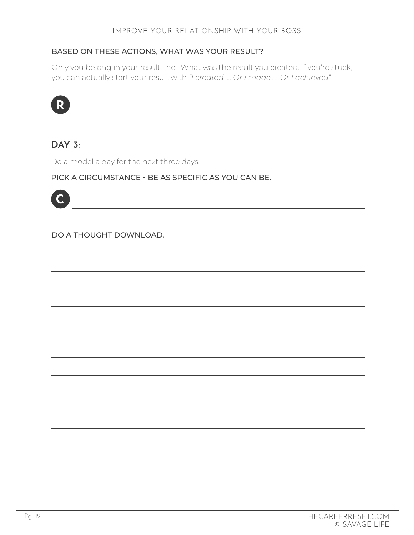#### BASED ON THESE ACTIONS, WHAT WAS YOUR RESULT?

Only you belong in your result line. What was the result you created. If you're stuck, you can actually start your result with *"I created …. Or I made …. Or I achieved"*



# **DAY 3:**

Do a model a day for the next three days.

#### PICK A CIRCUMSTANCE - BE AS SPECIFIC AS YOU CAN BE.



#### DO A THOUGHT DOWNLOAD.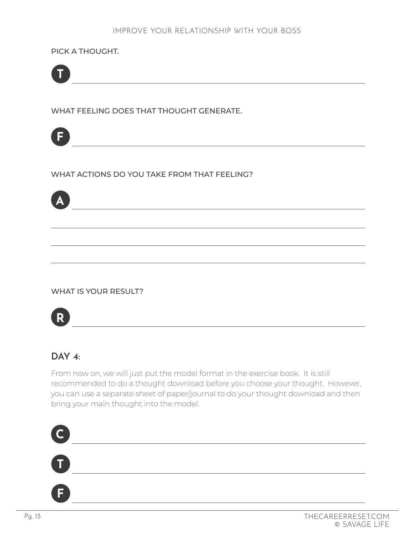PICK A THOUGHT.



WHAT FEELING DOES THAT THOUGHT GENERATE.



WHAT ACTIONS DO YOU TAKE FROM THAT FEELING?



#### WHAT IS YOUR RESULT?



# **DAY 4:**

From now on, we will just put the model format in the exercise book. It is still recommended to do a thought download before you choose your thought. However, you can use a separate sheet of paper/journal to do your thought download and then bring your main thought into the model.

<u> 1989 - Johann Barbara, martxa alemaniar a</u>



**F**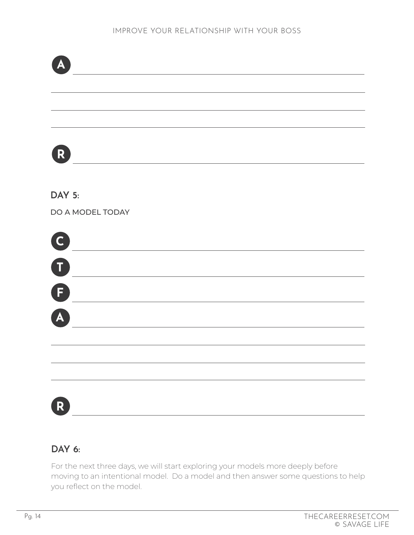

# **DAY 6:**

For the next three days, we will start exploring your models more deeply before moving to an intentional model. Do a model and then answer some questions to help you reflect on the model.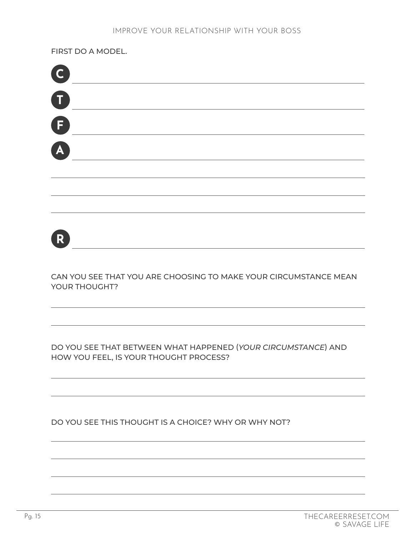FIRST DO A MODEL.

| C           |  |
|-------------|--|
| $\bullet$   |  |
| $\bigoplus$ |  |
| A           |  |
|             |  |
|             |  |
|             |  |
|             |  |
| R           |  |
|             |  |

CAN YOU SEE THAT YOU ARE CHOOSING TO MAKE YOUR CIRCUMSTANCE MEAN YOUR THOUGHT?

DO YOU SEE THAT BETWEEN WHAT HAPPENED (*YOUR CIRCUMSTANCE*) AND HOW YOU FEEL, IS YOUR THOUGHT PROCESS?

DO YOU SEE THIS THOUGHT IS A CHOICE? WHY OR WHY NOT?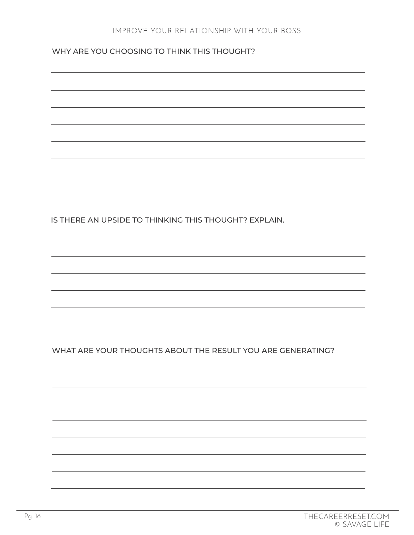WHY ARE YOU CHOOSING TO THINK THIS THOUGHT?

IS THERE AN UPSIDE TO THINKING THIS THOUGHT? EXPLAIN. WHAT ARE YOUR THOUGHTS ABOUT THE RESULT YOU ARE GENERATING?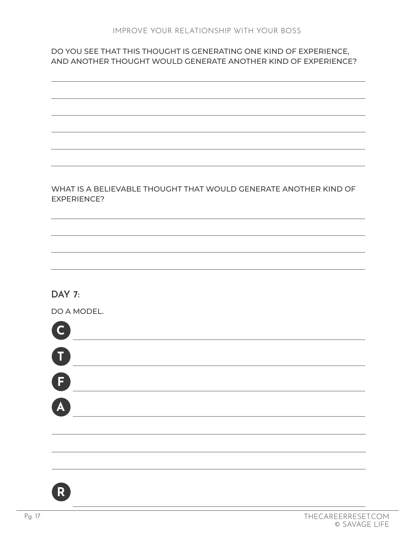#### DO YOU SEE THAT THIS THOUGHT IS GENERATING ONE KIND OF EXPERIENCE, AND ANOTHER THOUGHT WOULD GENERATE ANOTHER KIND OF EXPERIENCE?



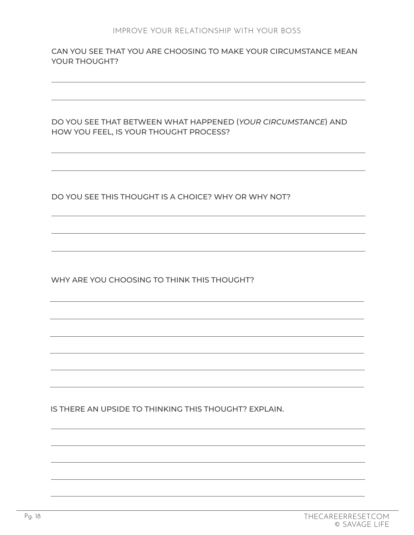CAN YOU SEE THAT YOU ARE CHOOSING TO MAKE YOUR CIRCUMSTANCE MEAN YOUR THOUGHT?

DO YOU SEE THAT BETWEEN WHAT HAPPENED (*YOUR CIRCUMSTANCE*) AND HOW YOU FEEL, IS YOUR THOUGHT PROCESS?

DO YOU SEE THIS THOUGHT IS A CHOICE? WHY OR WHY NOT?

WHY ARE YOU CHOOSING TO THINK THIS THOUGHT?

IS THERE AN UPSIDE TO THINKING THIS THOUGHT? EXPLAIN.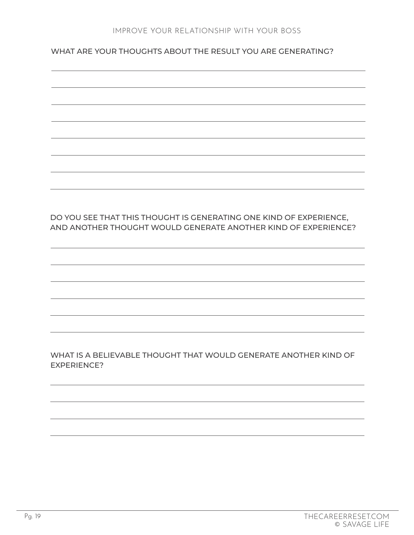WHAT ARE YOUR THOUGHTS ABOUT THE RESULT YOU ARE GENERATING?

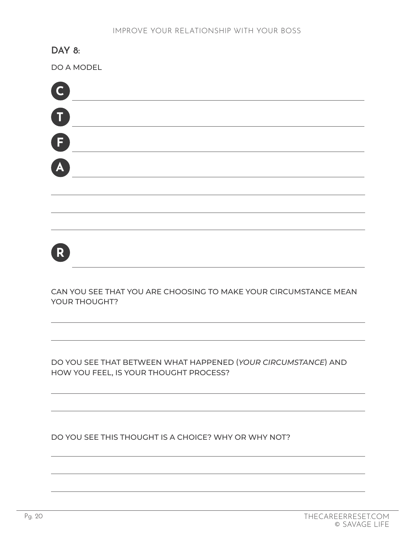# **DAY 8:**

DO A MODEL

| O                |  |  |  |
|------------------|--|--|--|
| $\mathbf \Omega$ |  |  |  |
| G                |  |  |  |
| A                |  |  |  |
|                  |  |  |  |



CAN YOU SEE THAT YOU ARE CHOOSING TO MAKE YOUR CIRCUMSTANCE MEAN YOUR THOUGHT?

DO YOU SEE THAT BETWEEN WHAT HAPPENED (*YOUR CIRCUMSTANCE*) AND HOW YOU FEEL, IS YOUR THOUGHT PROCESS?

DO YOU SEE THIS THOUGHT IS A CHOICE? WHY OR WHY NOT?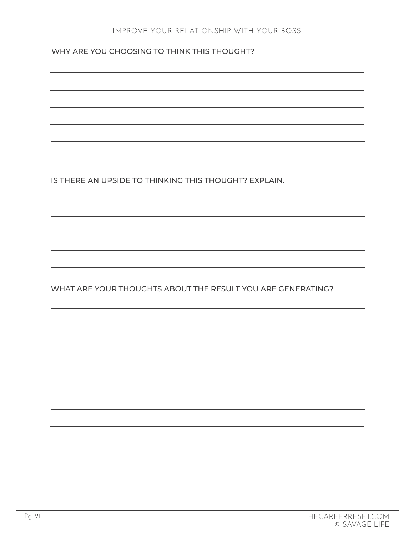#### WHY ARE YOU CHOOSING TO THINK THIS THOUGHT?

IS THERE AN UPSIDE TO THINKING THIS THOUGHT? EXPLAIN.

WHAT ARE YOUR THOUGHTS ABOUT THE RESULT YOU ARE GENERATING?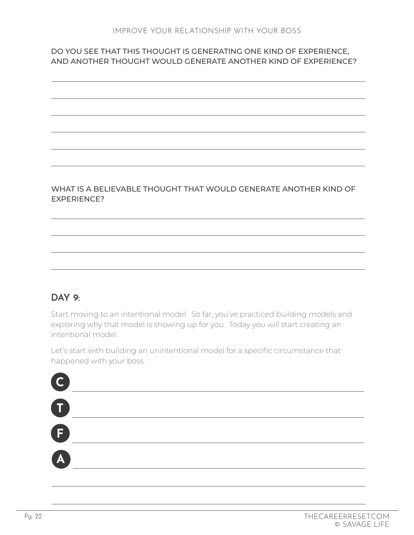#### DO YOU SEE THAT THIS THOUGHT IS GENERATING ONE KIND OF EXPERIENCE, AND ANOTHER THOUGHT WOULD GENERATE ANOTHER KIND OF EXPERIENCE?

#### WHAT IS A BELIEVABLE THOUGHT THAT WOULD GENERATE ANOTHER KIND OF EXPERIENCE?

# **DAY 9:**

Start moving to an intentional model. So far, you've practiced building models and exploring why that model is showing up for you. Today you will start creating an intentional model.

Let's start with building an unintentional model for a specific circumstance that happened with your boss.

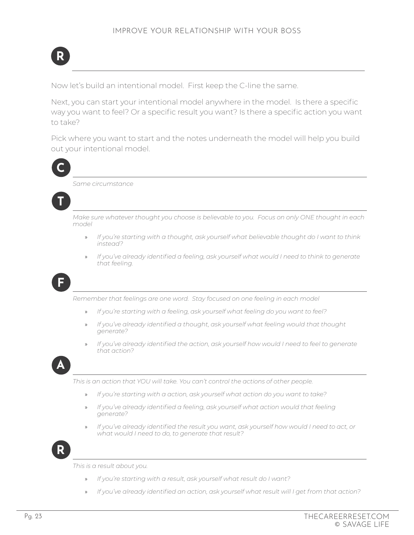

Now let's build an intentional model. First keep the C-line the same.

Next, you can start your intentional model anywhere in the model. Is there a specific way you want to feel? Or a specific result you want? Is there a specific action you want to take?

Pick where you want to start and the notes underneath the model will help you build out your intentional model.



*Same circumstance*



*Make sure whatever thought you choose is believable to you. Focus on only ONE thought in each model*

- » *If you're starting with a thought, ask yourself what believable thought do I want to think instead?*
- » *If you've already identified a feeling, ask yourself what would I need to think to generate that feeling.*



*Remember that feelings are one word. Stay focused on one feeling in each model*

- » *If you're starting with a feeling, ask yourself what feeling do you want to feel?*
- » *If you've already identified a thought, ask yourself what feeling would that thought generate?*
- » *If you've already identified the action, ask yourself how would I need to feel to generate that action?*



*This is an action that YOU will take. You can't control the actions of other people.*

- » *If you're starting with a action, ask yourself what action do you want to take?*
- » *If you've already identified a feeling, ask yourself what action would that feeling generate?*
- » *If you've already identified the result you want, ask yourself how would I need to act, or what would I need to do, to generate that result?*



*This is a result about you.*

- » *If you're starting with a result, ask yourself what result do I want?*
- » *If you've already identified an action, ask yourself what result will I get from that action?*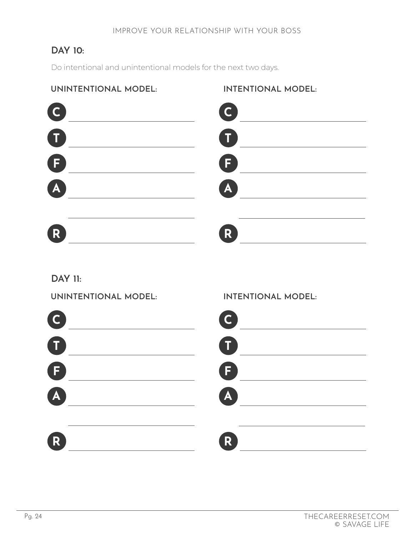# **DAY 10:**

Do intentional and unintentional models for the next two days.

# **UNINTENTIONAL MODEL:**



# **INTENTIONAL MODEL:**



# **DAY 11:**

**UNINTENTIONAL MODEL:**



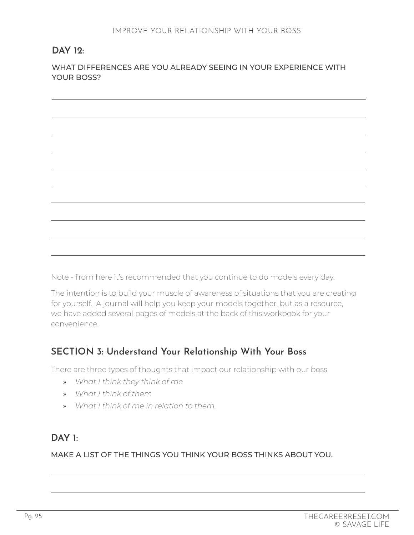# **DAY 12:**

WHAT DIFFERENCES ARE YOU ALREADY SEEING IN YOUR EXPERIENCE WITH YOUR BOSS?

Note - from here it's recommended that you continue to do models every day.

The intention is to build your muscle of awareness of situations that you are creating for yourself. A journal will help you keep your models together, but as a resource, we have added several pages of models at the back of this workbook for your convenience.

# **SECTION 3: Understand Your Relationship With Your Boss**

There are three types of thoughts that impact our relationship with our boss.

- » *What I think they think of me*
- » *What I think of them*
- » *What I think of me in relation to them.*

# **DAY 1:**

MAKE A LIST OF THE THINGS YOU THINK YOUR BOSS THINKS ABOUT YOU.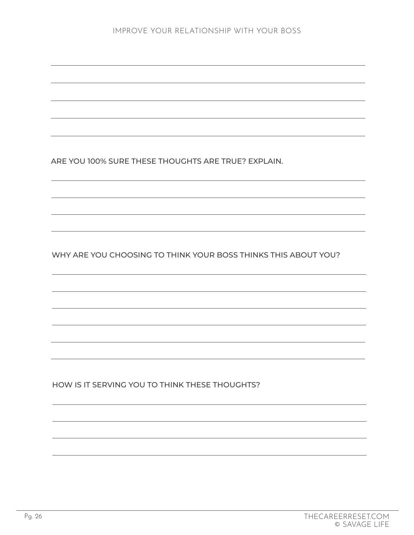ARE YOU 100% SURE THESE THOUGHTS ARE TRUE? EXPLAIN.

WHY ARE YOU CHOOSING TO THINK YOUR BOSS THINKS THIS ABOUT YOU?

HOW IS IT SERVING YOU TO THINK THESE THOUGHTS?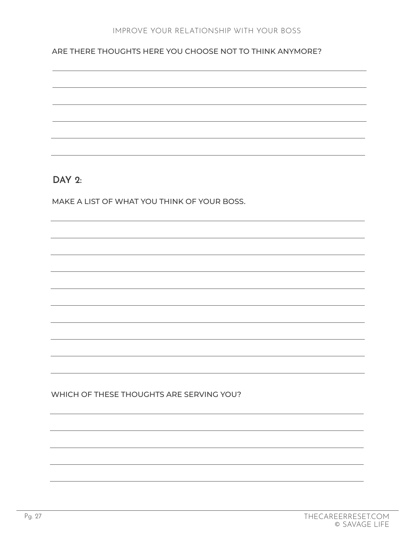#### ARE THERE THOUGHTS HERE YOU CHOOSE NOT TO THINK ANYMORE?

**DAY 2:** 

MAKE A LIST OF WHAT YOU THINK OF YOUR BOSS.

WHICH OF THESE THOUGHTS ARE SERVING YOU?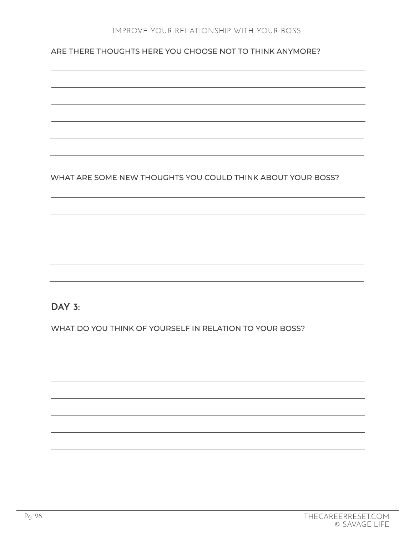ARE THERE THOUGHTS HERE YOU CHOOSE NOT TO THINK ANYMORE?

WHAT ARE SOME NEW THOUGHTS YOU COULD THINK ABOUT YOUR BOSS?

**DAY 3:** 

WHAT DO YOU THINK OF YOURSELF IN RELATION TO YOUR BOSS?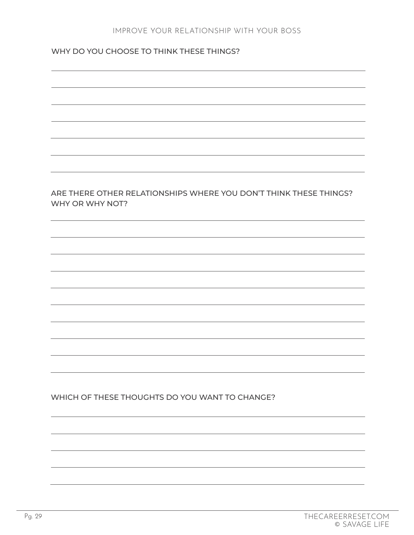#### WHY DO YOU CHOOSE TO THINK THESE THINGS?

#### ARE THERE OTHER RELATIONSHIPS WHERE YOU DON'T THINK THESE THINGS? WHY OR WHY NOT?

#### WHICH OF THESE THOUGHTS DO YOU WANT TO CHANGE?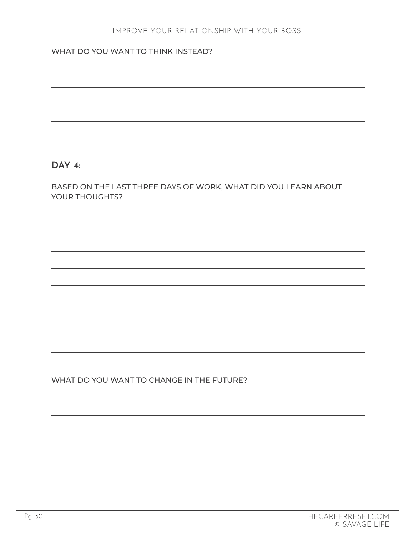#### WHAT DO YOU WANT TO THINK INSTEAD?

#### **DAY 4:**

BASED ON THE LAST THREE DAYS OF WORK, WHAT DID YOU LEARN ABOUT YOUR THOUGHTS?

#### WHAT DO YOU WANT TO CHANGE IN THE FUTURE?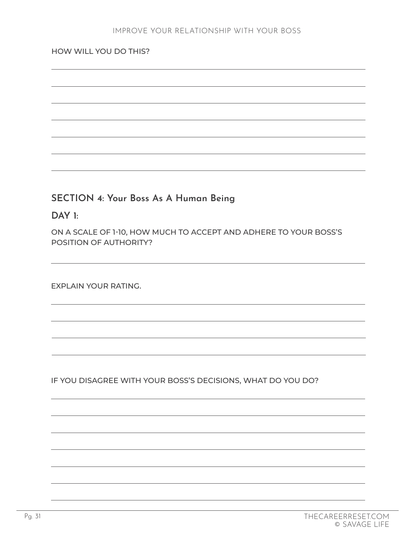#### HOW WILL YOU DO THIS?

# **SECTION 4: Your Boss As A Human Being**

#### **DAY 1:**

ON A SCALE OF 1-10, HOW MUCH TO ACCEPT AND ADHERE TO YOUR BOSS'S POSITION OF AUTHORITY?

EXPLAIN YOUR RATING.

IF YOU DISAGREE WITH YOUR BOSS'S DECISIONS, WHAT DO YOU DO?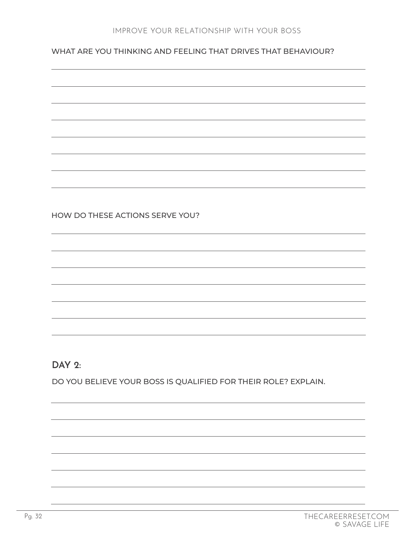#### WHAT ARE YOU THINKING AND FEELING THAT DRIVES THAT BEHAVIOUR?

#### HOW DO THESE ACTIONS SERVE YOU?

#### **DAY 2:**

DO YOU BELIEVE YOUR BOSS IS QUALIFIED FOR THEIR ROLE? EXPLAIN.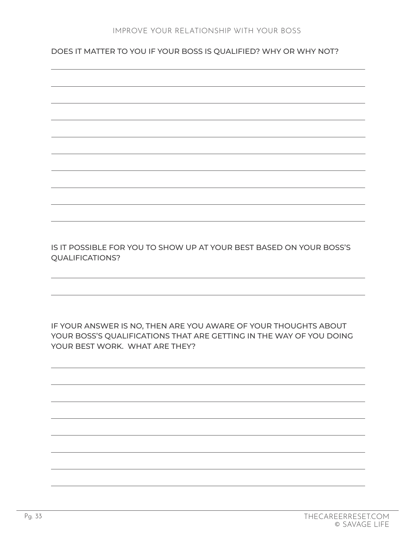DOES IT MATTER TO YOU IF YOUR BOSS IS QUALIFIED? WHY OR WHY NOT?



IS IT POSSIBLE FOR YOU TO SHOW UP AT YOUR BEST BASED ON YOUR BOSS'S QUALIFICATIONS?

IF YOUR ANSWER IS NO, THEN ARE YOU AWARE OF YOUR THOUGHTS ABOUT YOUR BOSS'S QUALIFICATIONS THAT ARE GETTING IN THE WAY OF YOU DOING YOUR BEST WORK. WHAT ARE THEY?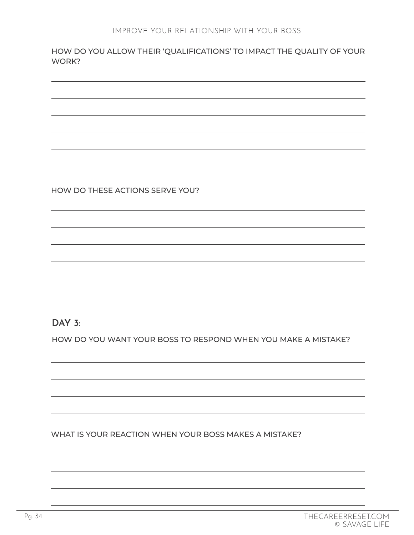HOW DO YOU ALLOW THEIR 'QUALIFICATIONS' TO IMPACT THE QUALITY OF YOUR WORK?

HOW DO THESE ACTIONS SERVE YOU?

**DAY 3:** 

HOW DO YOU WANT YOUR BOSS TO RESPOND WHEN YOU MAKE A MISTAKE?

WHAT IS YOUR REACTION WHEN YOUR BOSS MAKES A MISTAKE?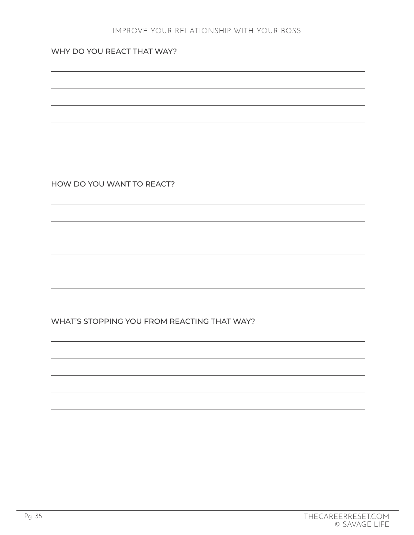#### WHY DO YOU REACT THAT WAY?

HOW DO YOU WANT TO REACT?

WHAT'S STOPPING YOU FROM REACTING THAT WAY?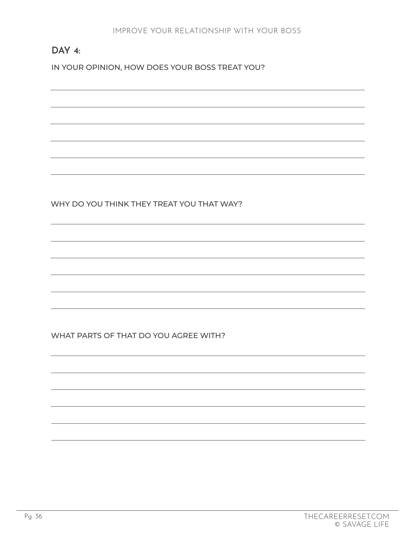# **DAY 4:**

IN YOUR OPINION, HOW DOES YOUR BOSS TREAT YOU?

WHY DO YOU THINK THEY TREAT YOU THAT WAY?

WHAT PARTS OF THAT DO YOU AGREE WITH?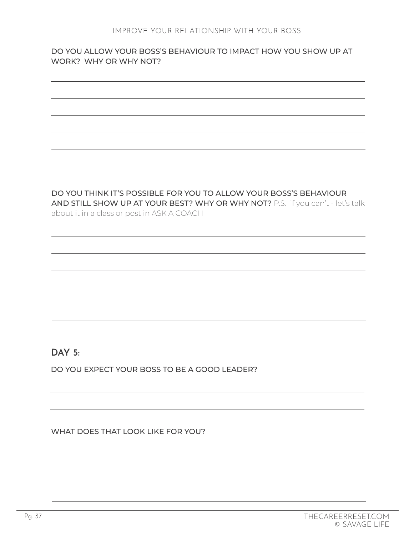#### DO YOU ALLOW YOUR BOSS'S BEHAVIOUR TO IMPACT HOW YOU SHOW UP AT WORK? WHY OR WHY NOT?

DO YOU THINK IT'S POSSIBLE FOR YOU TO ALLOW YOUR BOSS'S BEHAVIOUR AND STILL SHOW UP AT YOUR BEST? WHY OR WHY NOT? P.S. if you can't - let's talk about it in a class or post in ASK A COACH

# **DAY 5:**

DO YOU EXPECT YOUR BOSS TO BE A GOOD LEADER?

WHAT DOES THAT LOOK LIKE FOR YOU?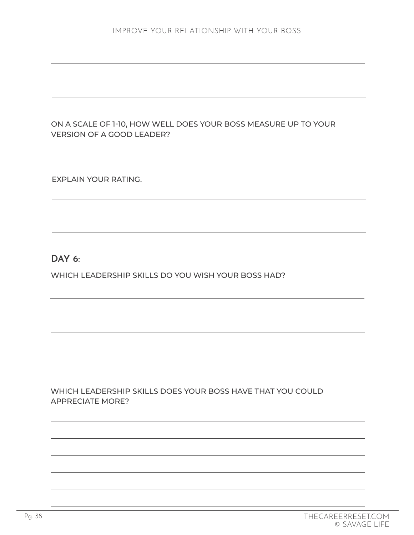#### ON A SCALE OF 1-10, HOW WELL DOES YOUR BOSS MEASURE UP TO YOUR VERSION OF A GOOD LEADER?

EXPLAIN YOUR RATING.

#### **DAY 6:**

WHICH LEADERSHIP SKILLS DO YOU WISH YOUR BOSS HAD?

#### WHICH LEADERSHIP SKILLS DOES YOUR BOSS HAVE THAT YOU COULD APPRECIATE MORE?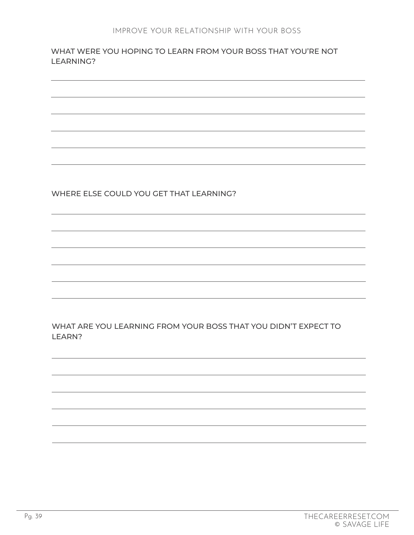#### WHAT WERE YOU HOPING TO LEARN FROM YOUR BOSS THAT YOU'RE NOT LEARNING?

WHERE ELSE COULD YOU GET THAT LEARNING?

WHAT ARE YOU LEARNING FROM YOUR BOSS THAT YOU DIDN'T EXPECT TO LEARN?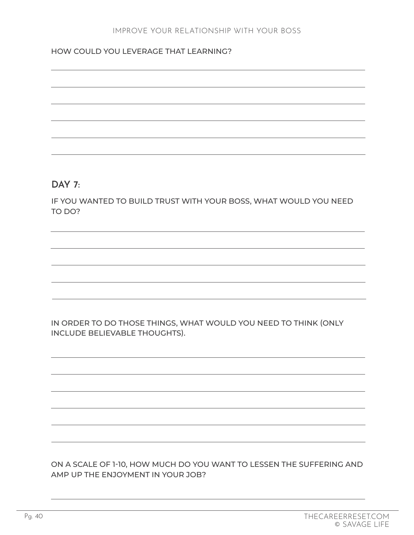#### HOW COULD YOU LEVERAGE THAT LEARNING?

#### **DAY 7:**

IF YOU WANTED TO BUILD TRUST WITH YOUR BOSS, WHAT WOULD YOU NEED TO DO?

IN ORDER TO DO THOSE THINGS, WHAT WOULD YOU NEED TO THINK (ONLY INCLUDE BELIEVABLE THOUGHTS).

ON A SCALE OF 1-10, HOW MUCH DO YOU WANT TO LESSEN THE SUFFERING AND AMP UP THE ENJOYMENT IN YOUR JOB?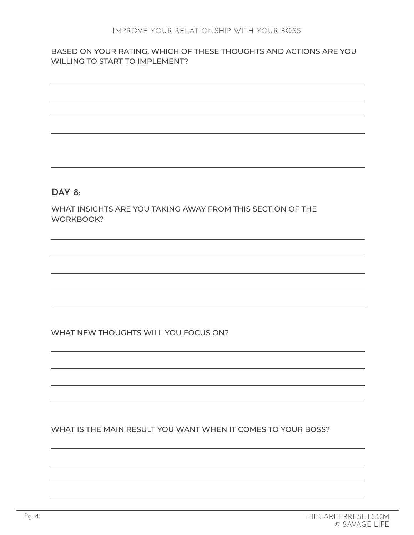#### BASED ON YOUR RATING, WHICH OF THESE THOUGHTS AND ACTIONS ARE YOU WILLING TO START TO IMPLEMENT?



#### WHAT NEW THOUGHTS WILL YOU FOCUS ON?

#### WHAT IS THE MAIN RESULT YOU WANT WHEN IT COMES TO YOUR BOSS?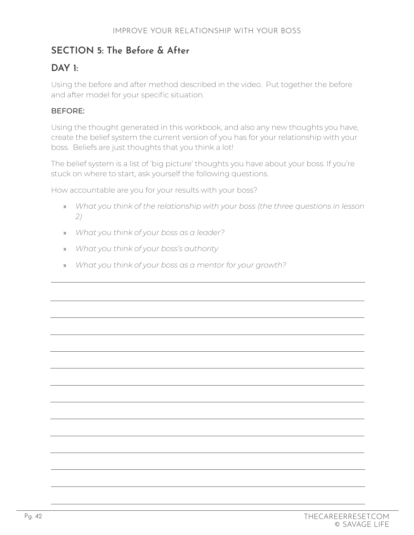# **SECTION 5: The Before & After**

# **DAY 1:**

Using the before and after method described in the video. Put together the before and after model for your specific situation.

#### BEFORE:

Using the thought generated in this workbook, and also any new thoughts you have, create the belief system the current version of you has for your relationship with your boss. Beliefs are just thoughts that you think a lot!

The belief system is a list of 'big picture' thoughts you have about your boss. If you're stuck on where to start, ask yourself the following questions.

How accountable are you for your results with your boss?

- » *What you think of the relationship with your boss (the three questions in lesson 2)*
- » *What you think of your boss as a leader?*
- » *What you think of your boss's authority*
- » *What you think of your boss as a mentor for your growth?*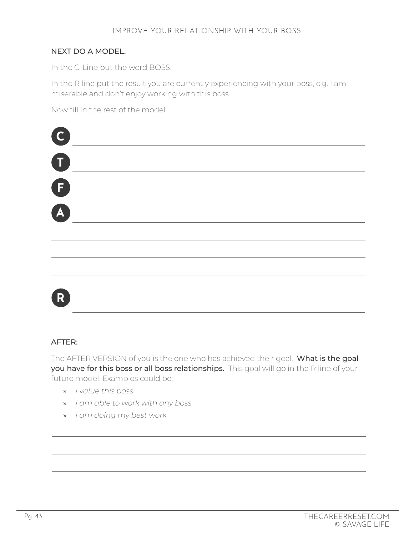#### NEXT DO A MODEL.

In the C-Line but the word BOSS.

In the R line put the result you are currently experiencing with your boss, e.g. I am miserable and don't enjoy working with this boss.

Now fill in the rest of the model





#### AFTER:

The AFTER VERSION of you is the one who has achieved their goal. What is the goal you have for this boss or all boss relationships. This goal will go in the R line of your future model. Examples could be;

- » *I value this boss*
- » *I am able to work with any boss*
- » *I am doing my best work*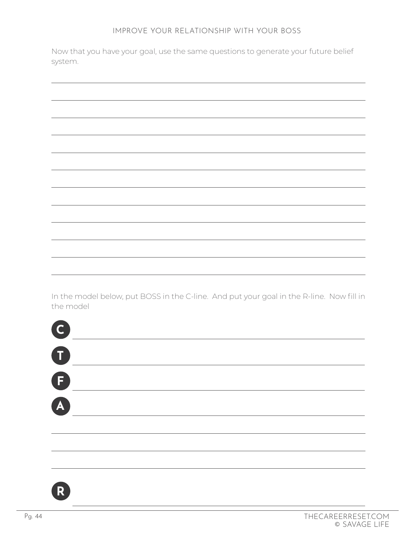Now that you have your goal, use the same questions to generate your future belief system.

In the model below, put BOSS in the C-line. And put your goal in the R-line. Now fill in the model



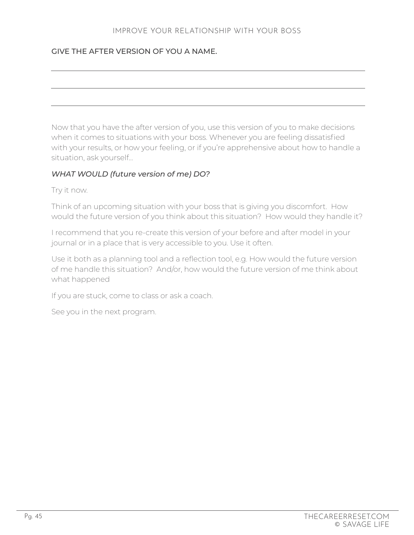#### GIVE THE AFTER VERSION OF YOU A NAME.

Now that you have the after version of you, use this version of you to make decisions when it comes to situations with your boss. Whenever you are feeling dissatisfied with your results, or how your feeling, or if you're apprehensive about how to handle a situation, ask yourself…

#### *WHAT WOULD (future version of me) DO?*

Try it now.

Think of an upcoming situation with your boss that is giving you discomfort. How would the future version of you think about this situation? How would they handle it?

I recommend that you re-create this version of your before and after model in your journal or in a place that is very accessible to you. Use it often.

Use it both as a planning tool and a reflection tool, e.g. How would the future version of me handle this situation? And/or, how would the future version of me think about what happened

If you are stuck, come to class or ask a coach.

See you in the next program.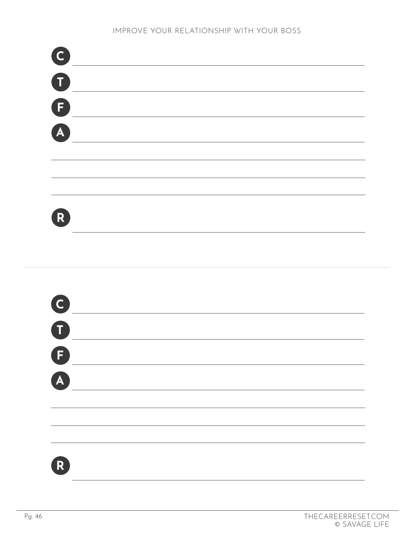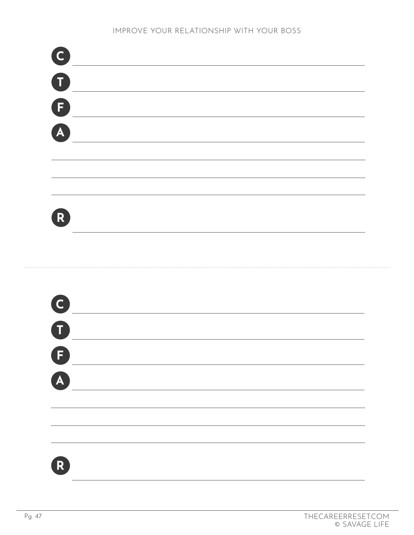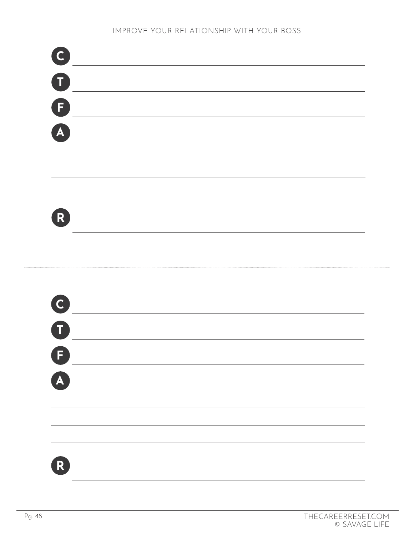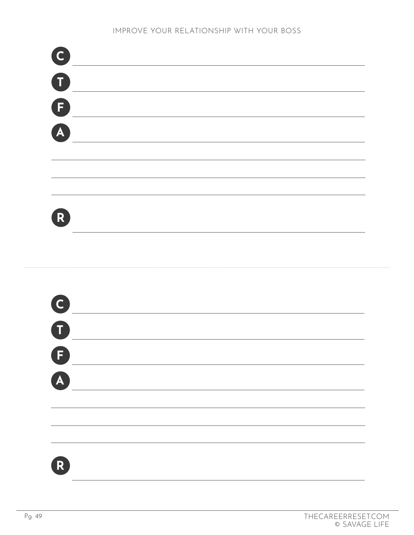